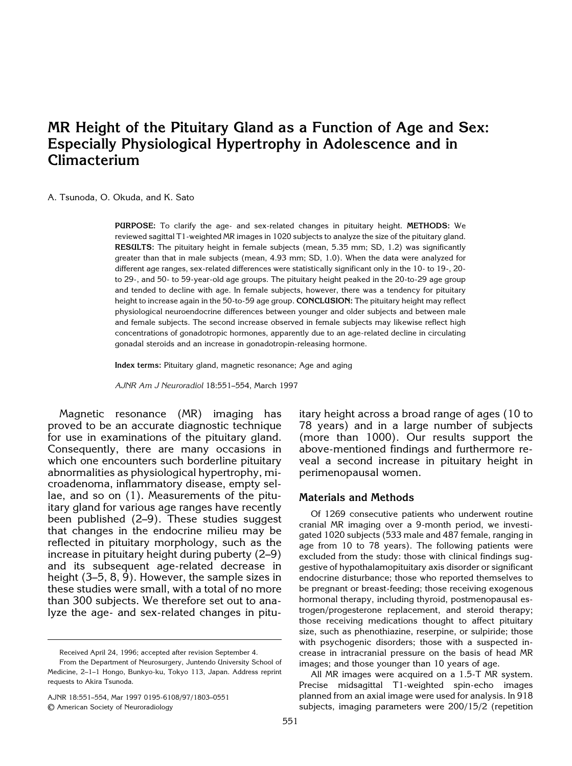# **MR Height of the Pituitary Gland as a Function of Age and Sex: Especially Physiological Hypertrophy in Adolescence and in Climacterium**

#### A. Tsunoda, O. Okuda, and K. Sato

**PURPOSE:** To clarify the age- and sex-related changes in pituitary height. **METHODS:** We reviewed sagittal T1-weighted MR images in 1020 subjects to analyze the size of the pituitary gland. **RESULTS:** The pituitary height in female subjects (mean, 5.35 mm; SD, 1.2) was significantly greater than that in male subjects (mean, 4.93 mm; SD, 1.0). When the data were analyzed for different age ranges, sex-related differences were statistically significant only in the 10- to 19-, 20 to 29-, and 50- to 59-year-old age groups. The pituitary height peaked in the 20-to-29 age group and tended to decline with age. In female subjects, however, there was a tendency for pituitary height to increase again in the 50-to-59 age group. **CONCLUSION:** The pituitary height may reflect physiological neuroendocrine differences between younger and older subjects and between male and female subjects. The second increase observed in female subjects may likewise reflect high concentrations of gonadotropic hormones, apparently due to an age-related decline in circulating gonadal steroids and an increase in gonadotropin-releasing hormone.

**Index terms:** Pituitary gland, magnetic resonance; Age and aging

*AJNR Am J Neuroradiol* 18:551–554, March 1997

Magnetic resonance (MR) imaging has proved to be an accurate diagnostic technique for use in examinations of the pituitary gland. Consequently, there are many occasions in which one encounters such borderline pituitary abnormalities as physiological hypertrophy, microadenoma, inflammatory disease, empty sellae, and so on (1). Measurements of the pituitary gland for various age ranges have recently been published (2–9). These studies suggest that changes in the endocrine milieu may be reflected in pituitary morphology, such as the increase in pituitary height during puberty (2–9) and its subsequent age-related decrease in height (3–5, 8, 9). However, the sample sizes in these studies were small, with a total of no more than 300 subjects. We therefore set out to analyze the age- and sex-related changes in pitu-

AJNR 18:551–554, Mar 1997 0195-6108/97/1803–0551 © American Society of Neuroradiology

itary height across a broad range of ages (10 to 78 years) and in a large number of subjects (more than 1000). Our results support the above-mentioned findings and furthermore reveal a second increase in pituitary height in perimenopausal women.

#### **Materials and Methods**

Of 1269 consecutive patients who underwent routine cranial MR imaging over a 9-month period, we investigated 1020 subjects (533 male and 487 female, ranging in age from 10 to 78 years). The following patients were excluded from the study: those with clinical findings suggestive of hypothalamopituitary axis disorder or significant endocrine disturbance; those who reported themselves to be pregnant or breast-feeding; those receiving exogenous hormonal therapy, including thyroid, postmenopausal estrogen/progesterone replacement, and steroid therapy; those receiving medications thought to affect pituitary size, such as phenothiazine, reserpine, or sulpiride; those with psychogenic disorders; those with a suspected increase in intracranial pressure on the basis of head MR images; and those younger than 10 years of age.

All MR images were acquired on a 1.5-T MR system. Precise midsagittal T1-weighted spin-echo images planned from an axial image were used for analysis. In 918 subjects, imaging parameters were 200/15/2 (repetition

Received April 24, 1996; accepted after revision September 4.

From the Department of Neurosurgery, Juntendo University School of Medicine, 2–1–1 Hongo, Bunkyo-ku, Tokyo 113, Japan. Address reprint requests to Akira Tsunoda.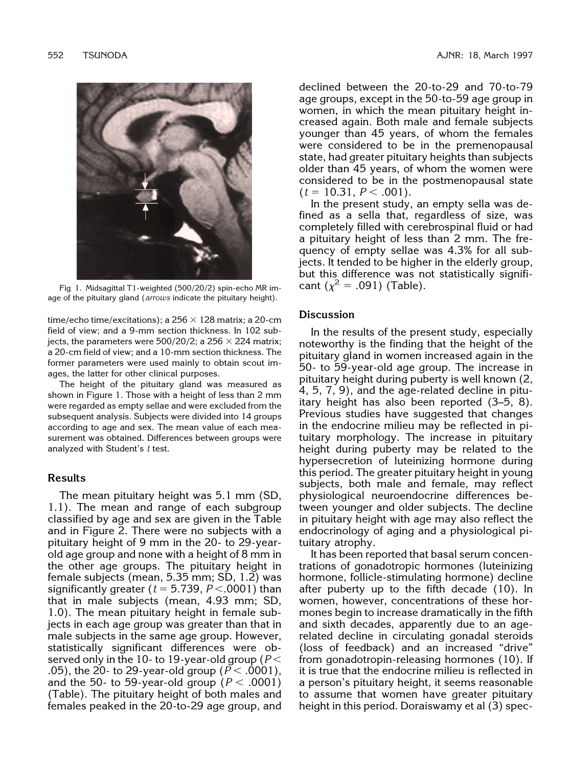

Fig 1. Midsagittal T1-weighted (500/20/2) spin-echo MR image of the pituitary gland (*arrows* indicate the pituitary height).

time/echo time/excitations); a  $256 \times 128$  matrix; a 20-cm field of view; and a 9-mm section thickness. In 102 subjects, the parameters were 500/20/2; a 256  $\times$  224 matrix; a 20-cm field of view; and a 10-mm section thickness. The former parameters were used mainly to obtain scout images, the latter for other clinical purposes.

The height of the pituitary gland was measured as shown in Figure 1. Those with a height of less than 2 mm were regarded as empty sellae and were excluded from the subsequent analysis. Subjects were divided into 14 groups according to age and sex. The mean value of each measurement was obtained. Differences between groups were analyzed with Student's *t* test.

### **Results**

The mean pituitary height was 5.1 mm (SD, 1.1). The mean and range of each subgroup classified by age and sex are given in the Table and in Figure 2. There were no subjects with a pituitary height of 9 mm in the 20- to 29-yearold age group and none with a height of 8 mm in the other age groups. The pituitary height in female subjects (mean, 5.35 mm; SD, 1.2) was significantly greater ( $t = 5.739, P < .0001$ ) than that in male subjects (mean, 4.93 mm; SD, 1.0). The mean pituitary height in female subjects in each age group was greater than that in male subjects in the same age group. However, statistically significant differences were observed only in the 10- to 19-year-old group ( $P$   $<$ .05), the 20- to 29-year-old group ( $P < .0001$ ), and the 50- to 59-year-old group ( $P < .0001$ ) (Table). The pituitary height of both males and females peaked in the 20-to-29 age group, and

declined between the 20-to-29 and 70-to-79 age groups, except in the 50-to-59 age group in women, in which the mean pituitary height increased again. Both male and female subjects younger than 45 years, of whom the females were considered to be in the premenopausal state, had greater pituitary heights than subjects older than 45 years, of whom the women were considered to be in the postmenopausal state  $(t = 10.31, P < .001)$ .

In the present study, an empty sella was defined as a sella that, regardless of size, was completely filled with cerebrospinal fluid or had a pituitary height of less than 2 mm. The frequency of empty sellae was 4.3% for all subjects. It tended to be higher in the elderly group, but this difference was not statistically significant  $(\chi^2 = .091)$  (Table).

# **Discussion**

In the results of the present study, especially noteworthy is the finding that the height of the pituitary gland in women increased again in the 50- to 59-year-old age group. The increase in pituitary height during puberty is well known (2, 4, 5, 7, 9), and the age-related decline in pituitary height has also been reported (3–5, 8). Previous studies have suggested that changes in the endocrine milieu may be reflected in pituitary morphology. The increase in pituitary height during puberty may be related to the hypersecretion of luteinizing hormone during this period. The greater pituitary height in young subjects, both male and female, may reflect physiological neuroendocrine differences between younger and older subjects. The decline in pituitary height with age may also reflect the endocrinology of aging and a physiological pituitary atrophy.

It has been reported that basal serum concentrations of gonadotropic hormones (luteinizing hormone, follicle-stimulating hormone) decline after puberty up to the fifth decade (10). In women, however, concentrations of these hormones begin to increase dramatically in the fifth and sixth decades, apparently due to an agerelated decline in circulating gonadal steroids (loss of feedback) and an increased "drive" from gonadotropin-releasing hormones (10). If it is true that the endocrine milieu is reflected in a person's pituitary height, it seems reasonable to assume that women have greater pituitary height in this period. Doraiswamy et al (3) spec-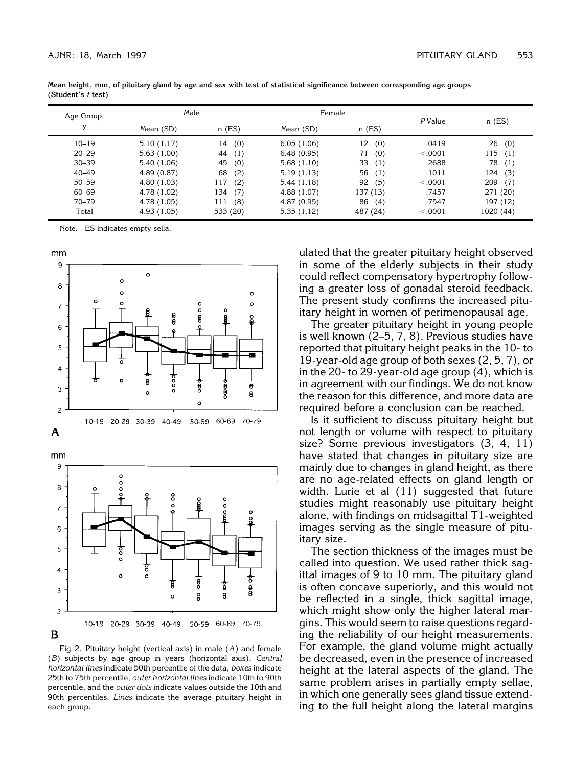| Age Group, | Male        |            | Female      |           | $P$ Value |            |
|------------|-------------|------------|-------------|-----------|-----------|------------|
|            | Mean (SD)   | $n$ (ES)   | Mean (SD)   | $n$ (ES)  |           | $n$ (ES)   |
| $10 - 19$  | 5.10(1.17)  | (0)<br>14  | 6.05(1.06)  | 12<br>(0) | .0419     | 26<br>(0)  |
| $20 - 29$  | 5.63(1.00)  | 44<br>(1)  | 6.48(0.95)  | (0)<br>71 | < .0001   | 115<br>(1) |
| $30 - 39$  | 5.40(1.06)  | (0)<br>45  | 5.68(1.10)  | 33<br>(1) | .2688     | 78<br>(1)  |
| $40 - 49$  | 4.89(0.87)  | 68<br>(2)  | 5.19(1.13)  | 56<br>(1) | .1011     | 124<br>(3) |
| $50 - 59$  | 4.80(1.03)  | (2)<br>117 | 5.44(1.18)  | 92<br>(5) | < .0001   | 209<br>(7) |
| 60-69      | 4.78 (1.02) | (7)<br>134 | 4.88 (1.07) | 137 (13)  | .7457     | 271 (20)   |
| $70 - 79$  | 4.78 (1.05) | (8)<br>111 | 4.87 (0.95) | 86<br>(4) | .7547     | 197 (12)   |
| Total      | 4.93 (1.05) | 533 (20)   | 5.35(1.12)  | 487 (24)  | < .0001   | 1020 (44)  |

**Mean height, mm, of pituitary gland by age and sex with test of statistical significance between corresponding age groups (Student's** *t* **test)**

Note.—ES indicates empty sella.







Fig 2. Pituitary height (vertical axis) in male (*A*) and female (*B*) subjects by age group in years (horizontal axis). *Central horizontal lines* indicate 50th percentile of the data, *boxes* indicate 25th to 75th percentile, *outer horizontal lines* indicate 10th to 90th percentile, and the *outer dots* indicate values outside the 10th and 90th percentiles. *Lines* indicate the average pituitary height in each group.

ulated that the greater pituitary height observed in some of the elderly subjects in their study could reflect compensatory hypertrophy following a greater loss of gonadal steroid feedback. The present study confirms the increased pituitary height in women of perimenopausal age.

The greater pituitary height in young people is well known (2–5, 7, 8). Previous studies have reported that pituitary height peaks in the 10- to 19-year-old age group of both sexes (2, 5, 7), or in the 20- to 29-year-old age group  $(4)$ , which is in agreement with our findings. We do not know the reason for this difference, and more data are required before a conclusion can be reached.

Is it sufficient to discuss pituitary height but not length or volume with respect to pituitary size? Some previous investigators (3, 4, 11) have stated that changes in pituitary size are mainly due to changes in gland height, as there are no age-related effects on gland length or width. Lurie et al (11) suggested that future studies might reasonably use pituitary height alone, with findings on midsagittal T1-weighted images serving as the single measure of pituitary size.

The section thickness of the images must be called into question. We used rather thick sagittal images of 9 to 10 mm. The pituitary gland is often concave superiorly, and this would not be reflected in a single, thick sagittal image, which might show only the higher lateral margins. This would seem to raise questions regarding the reliability of our height measurements. For example, the gland volume might actually be decreased, even in the presence of increased height at the lateral aspects of the gland. The same problem arises in partially empty sellae, in which one generally sees gland tissue extending to the full height along the lateral margins